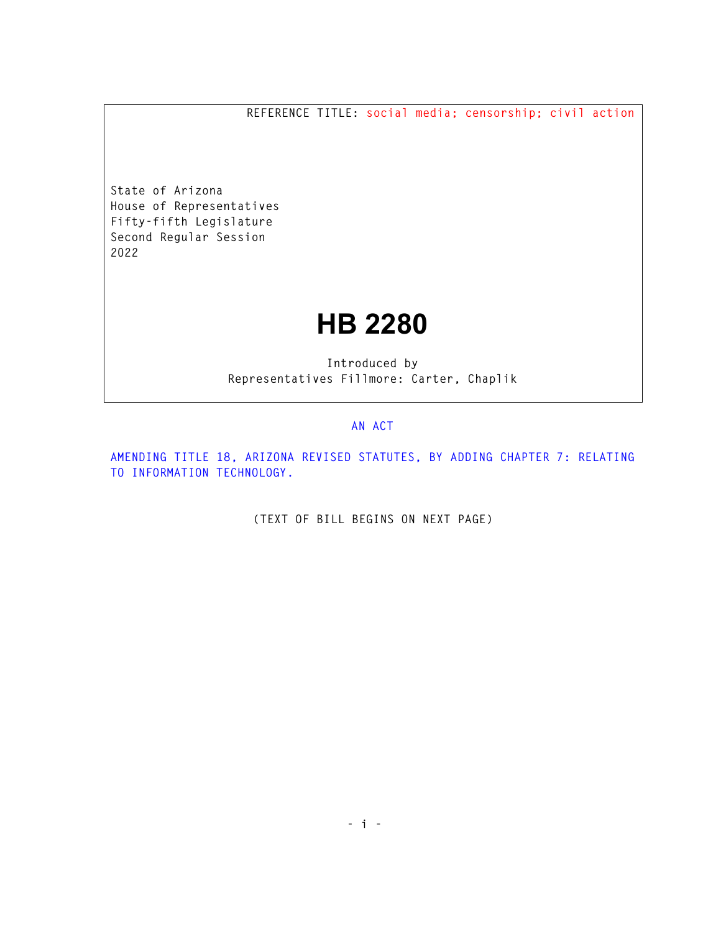**REFERENCE TITLE: social media; censorship; civil action** 

**State of Arizona House of Representatives Fifty-fifth Legislature Second Regular Session 2022** 

## **HB 2280**

**Introduced by Representatives Fillmore: Carter, Chaplik** 

## **AN ACT**

**AMENDING TITLE 18, ARIZONA REVISED STATUTES, BY ADDING CHAPTER 7: RELATING TO INFORMATION TECHNOLOGY.** 

**(TEXT OF BILL BEGINS ON NEXT PAGE)**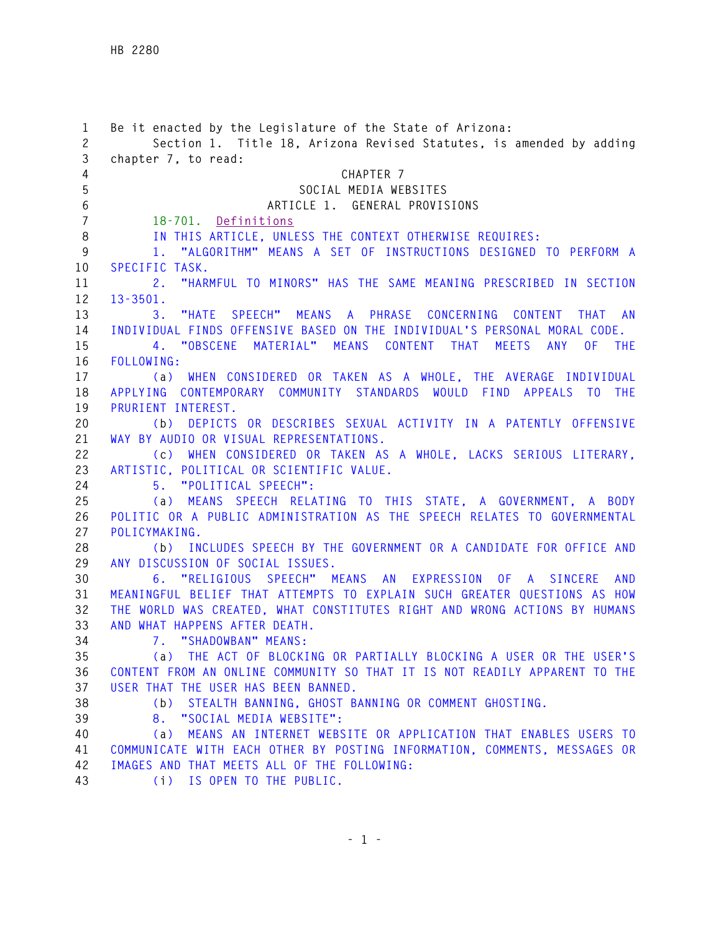| $\mathbf{1}$<br>$\overline{c}$ | Be it enacted by the Legislature of the State of Arizona:                                               |
|--------------------------------|---------------------------------------------------------------------------------------------------------|
| 3                              | Section 1. Title 18, Arizona Revised Statutes, is amended by adding<br>chapter 7, to read:              |
| $\overline{4}$                 | CHAPTER 7                                                                                               |
| 5                              | SOCIAL MEDIA WEBSITES                                                                                   |
| $\,6\,$                        | ARTICLE 1. GENERAL PROVISIONS                                                                           |
| $\overline{7}$                 | 18-701. Definitions                                                                                     |
| $\, 8$                         | IN THIS ARTICLE, UNLESS THE CONTEXT OTHERWISE REQUIRES:                                                 |
| $\boldsymbol{9}$               | 1. "ALGORITHM" MEANS A SET OF INSTRUCTIONS DESIGNED TO PERFORM A                                        |
| 10                             | SPECIFIC TASK.                                                                                          |
| 11                             | "HARMFUL TO MINORS" HAS THE SAME MEANING PRESCRIBED IN SECTION<br>2.                                    |
| 12                             | $13 - 3501.$                                                                                            |
| 13                             | "HATE SPEECH" MEANS A PHRASE CONCERNING CONTENT THAT AN<br>3.                                           |
| 14                             | INDIVIDUAL FINDS OFFENSIVE BASED ON THE INDIVIDUAL'S PERSONAL MORAL CODE.                               |
| 15                             | 4. "OBSCENE MATERIAL" MEANS CONTENT THAT<br>MEETS ANY<br>OF THE                                         |
| 16                             | FOLLOWING:                                                                                              |
| 17                             | (a) WHEN CONSIDERED OR TAKEN AS A WHOLE, THE AVERAGE INDIVIDUAL                                         |
| 18                             | APPLYING CONTEMPORARY COMMUNITY STANDARDS WOULD FIND APPEALS TO THE                                     |
| 19                             | PRURIENT INTEREST.                                                                                      |
| 20                             | (b) DEPICTS OR DESCRIBES SEXUAL ACTIVITY IN A PATENTLY OFFENSIVE                                        |
| 21                             | WAY BY AUDIO OR VISUAL REPRESENTATIONS.                                                                 |
| 22                             | (c) WHEN CONSIDERED OR TAKEN AS A WHOLE, LACKS SERIOUS LITERARY,                                        |
| 23                             | ARTISTIC, POLITICAL OR SCIENTIFIC VALUE.                                                                |
| 24                             | 5. "POLITICAL SPEECH":                                                                                  |
| 25                             | (a) MEANS SPEECH RELATING TO THIS STATE, A GOVERNMENT, A BODY                                           |
| 26                             | POLITIC OR A PUBLIC ADMINISTRATION AS THE SPEECH RELATES TO GOVERNMENTAL                                |
| 27                             | POLICYMAKING.                                                                                           |
| 28<br>29                       | (b) INCLUDES SPEECH BY THE GOVERNMENT OR A CANDIDATE FOR OFFICE AND<br>ANY DISCUSSION OF SOCIAL ISSUES. |
| 30                             | 6. "RELIGIOUS SPEECH" MEANS AN EXPRESSION OF A SINCERE AND                                              |
| 31                             | MEANINGFUL BELIEF THAT ATTEMPTS TO EXPLAIN SUCH GREATER QUESTIONS AS HOW                                |
| 32                             | THE WORLD WAS CREATED, WHAT CONSTITUTES RIGHT AND WRONG ACTIONS BY HUMANS                               |
| 33                             | AND WHAT HAPPENS AFTER DEATH.                                                                           |
| 34                             | 7. "SHADOWBAN" MEANS:                                                                                   |
| 35                             | (a) THE ACT OF BLOCKING OR PARTIALLY BLOCKING A USER OR THE USER'S                                      |
| 36                             | CONTENT FROM AN ONLINE COMMUNITY SO THAT IT IS NOT READILY APPARENT TO THE                              |
| 37                             | USER THAT THE USER HAS BEEN BANNED.                                                                     |
| 38                             | (b) STEALTH BANNING, GHOST BANNING OR COMMENT GHOSTING.                                                 |
| 39                             | 8. "SOCIAL MEDIA WEBSITE":                                                                              |
| 40                             | (a) MEANS AN INTERNET WEBSITE OR APPLICATION THAT ENABLES USERS TO                                      |
| 41                             | COMMUNICATE WITH EACH OTHER BY POSTING INFORMATION, COMMENTS, MESSAGES OR                               |
| 42                             | IMAGES AND THAT MEETS ALL OF THE FOLLOWING:                                                             |
| 43                             | (i) IS OPEN TO THE PUBLIC.                                                                              |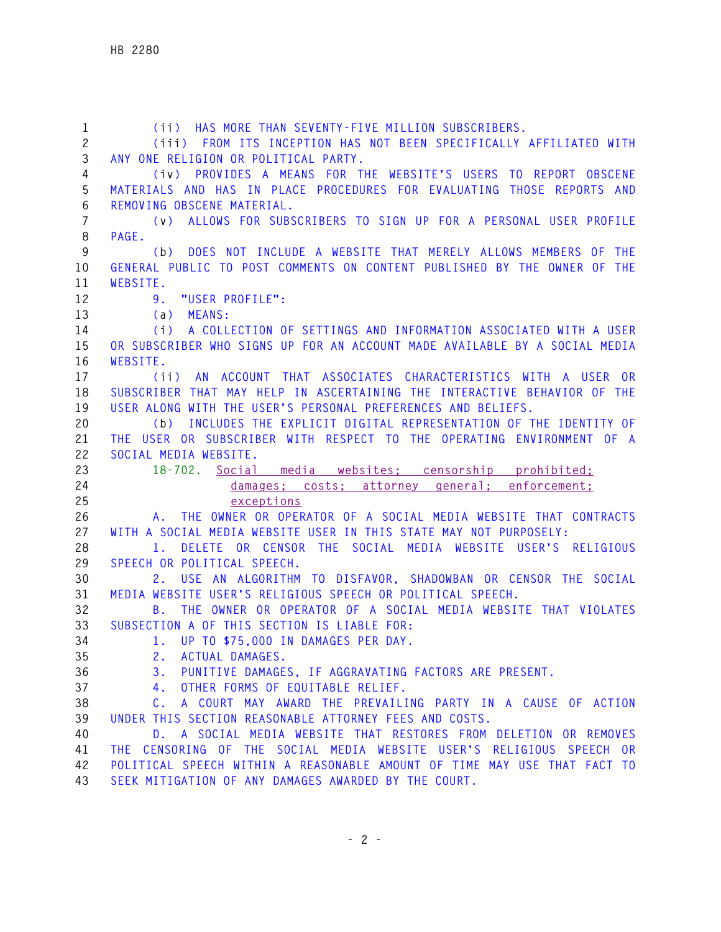**1 (ii) HAS MORE THAN SEVENTY-FIVE MILLION SUBSCRIBERS. 2 (iii) FROM ITS INCEPTION HAS NOT BEEN SPECIFICALLY AFFILIATED WITH 3 ANY ONE RELIGION OR POLITICAL PARTY. 4 (iv) PROVIDES A MEANS FOR THE WEBSITE'S USERS TO REPORT OBSCENE 5 MATERIALS AND HAS IN PLACE PROCEDURES FOR EVALUATING THOSE REPORTS AND 6 REMOVING OBSCENE MATERIAL. 7 (v) ALLOWS FOR SUBSCRIBERS TO SIGN UP FOR A PERSONAL USER PROFILE 8 PAGE. 9 (b) DOES NOT INCLUDE A WEBSITE THAT MERELY ALLOWS MEMBERS OF THE 10 GENERAL PUBLIC TO POST COMMENTS ON CONTENT PUBLISHED BY THE OWNER OF THE 11 WEBSITE. 12 9. "USER PROFILE": 13 (a) MEANS: 14 (i) A COLLECTION OF SETTINGS AND INFORMATION ASSOCIATED WITH A USER 15 OR SUBSCRIBER WHO SIGNS UP FOR AN ACCOUNT MADE AVAILABLE BY A SOCIAL MEDIA 16 WEBSITE. 17 (ii) AN ACCOUNT THAT ASSOCIATES CHARACTERISTICS WITH A USER OR 18 SUBSCRIBER THAT MAY HELP IN ASCERTAINING THE INTERACTIVE BEHAVIOR OF THE 19 USER ALONG WITH THE USER'S PERSONAL PREFERENCES AND BELIEFS. 20 (b) INCLUDES THE EXPLICIT DIGITAL REPRESENTATION OF THE IDENTITY OF 21 THE USER OR SUBSCRIBER WITH RESPECT TO THE OPERATING ENVIRONMENT OF A 22 SOCIAL MEDIA WEBSITE. 23 18-702. Social media websites; censorship prohibited; 24 damages; costs; attorney general; enforcement; 25 exceptions 26 A. THE OWNER OR OPERATOR OF A SOCIAL MEDIA WEBSITE THAT CONTRACTS 27 WITH A SOCIAL MEDIA WEBSITE USER IN THIS STATE MAY NOT PURPOSELY: 28 1. DELETE OR CENSOR THE SOCIAL MEDIA WEBSITE USER'S RELIGIOUS 29 SPEECH OR POLITICAL SPEECH. 30 2. USE AN ALGORITHM TO DISFAVOR, SHADOWBAN OR CENSOR THE SOCIAL 31 MEDIA WEBSITE USER'S RELIGIOUS SPEECH OR POLITICAL SPEECH. 32 B. THE OWNER OR OPERATOR OF A SOCIAL MEDIA WEBSITE THAT VIOLATES 33 SUBSECTION A OF THIS SECTION IS LIABLE FOR: 34 1. UP TO \$75,000 IN DAMAGES PER DAY. 35 2. ACTUAL DAMAGES. 36 3. PUNITIVE DAMAGES, IF AGGRAVATING FACTORS ARE PRESENT. 37 4. OTHER FORMS OF EQUITABLE RELIEF. 38 C. A COURT MAY AWARD THE PREVAILING PARTY IN A CAUSE OF ACTION 39 UNDER THIS SECTION REASONABLE ATTORNEY FEES AND COSTS. 40 D. A SOCIAL MEDIA WEBSITE THAT RESTORES FROM DELETION OR REMOVES 41 THE CENSORING OF THE SOCIAL MEDIA WEBSITE USER'S RELIGIOUS SPEECH OR 42 POLITICAL SPEECH WITHIN A REASONABLE AMOUNT OF TIME MAY USE THAT FACT TO 43 SEEK MITIGATION OF ANY DAMAGES AWARDED BY THE COURT.**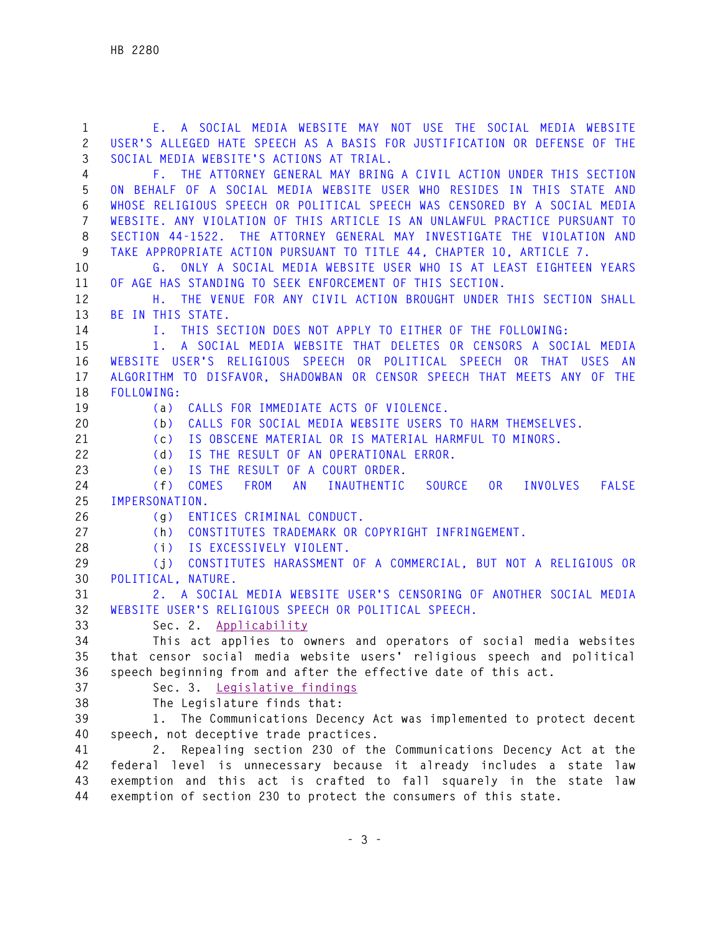**1 E. A SOCIAL MEDIA WEBSITE MAY NOT USE THE SOCIAL MEDIA WEBSITE 2 USER'S ALLEGED HATE SPEECH AS A BASIS FOR JUSTIFICATION OR DEFENSE OF THE 3 SOCIAL MEDIA WEBSITE'S ACTIONS AT TRIAL. 4 F. THE ATTORNEY GENERAL MAY BRING A CIVIL ACTION UNDER THIS SECTION 5 ON BEHALF OF A SOCIAL MEDIA WEBSITE USER WHO RESIDES IN THIS STATE AND 6 WHOSE RELIGIOUS SPEECH OR POLITICAL SPEECH WAS CENSORED BY A SOCIAL MEDIA 7 WEBSITE. ANY VIOLATION OF THIS ARTICLE IS AN UNLAWFUL PRACTICE PURSUANT TO 8 SECTION 44-1522. THE ATTORNEY GENERAL MAY INVESTIGATE THE VIOLATION AND 9 TAKE APPROPRIATE ACTION PURSUANT TO TITLE 44, CHAPTER 10, ARTICLE 7. 10 G. ONLY A SOCIAL MEDIA WEBSITE USER WHO IS AT LEAST EIGHTEEN YEARS 11 OF AGE HAS STANDING TO SEEK ENFORCEMENT OF THIS SECTION. 12 H. THE VENUE FOR ANY CIVIL ACTION BROUGHT UNDER THIS SECTION SHALL 13 BE IN THIS STATE. 14 I. THIS SECTION DOES NOT APPLY TO EITHER OF THE FOLLOWING: 15 1. A SOCIAL MEDIA WEBSITE THAT DELETES OR CENSORS A SOCIAL MEDIA 16 WEBSITE USER'S RELIGIOUS SPEECH OR POLITICAL SPEECH OR THAT USES AN 17 ALGORITHM TO DISFAVOR, SHADOWBAN OR CENSOR SPEECH THAT MEETS ANY OF THE 18 FOLLOWING: 19 (a) CALLS FOR IMMEDIATE ACTS OF VIOLENCE. 20 (b) CALLS FOR SOCIAL MEDIA WEBSITE USERS TO HARM THEMSELVES. 21 (c) IS OBSCENE MATERIAL OR IS MATERIAL HARMFUL TO MINORS. 22 (d) IS THE RESULT OF AN OPERATIONAL ERROR. 23 (e) IS THE RESULT OF A COURT ORDER. 24 (f) COMES FROM AN INAUTHENTIC SOURCE OR INVOLVES FALSE 25 IMPERSONATION. 26 (g) ENTICES CRIMINAL CONDUCT. 27 (h) CONSTITUTES TRADEMARK OR COPYRIGHT INFRINGEMENT. 28 (i) IS EXCESSIVELY VIOLENT. 29 (j) CONSTITUTES HARASSMENT OF A COMMERCIAL, BUT NOT A RELIGIOUS OR 30 POLITICAL, NATURE. 31 2. A SOCIAL MEDIA WEBSITE USER'S CENSORING OF ANOTHER SOCIAL MEDIA 32 WEBSITE USER'S RELIGIOUS SPEECH OR POLITICAL SPEECH. 33 Sec. 2. Applicability 34 This act applies to owners and operators of social media websites 35 that censor social media website users' religious speech and political 36 speech beginning from and after the effective date of this act. 37 Sec. 3. Legislative findings 38 The Legislature finds that: 39 1. The Communications Decency Act was implemented to protect decent 40 speech, not deceptive trade practices. 41 2. Repealing section 230 of the Communications Decency Act at the 42 federal level is unnecessary because it already includes a state law 43 exemption and this act is crafted to fall squarely in the state law** 

**44 exemption of section 230 to protect the consumers of this state.**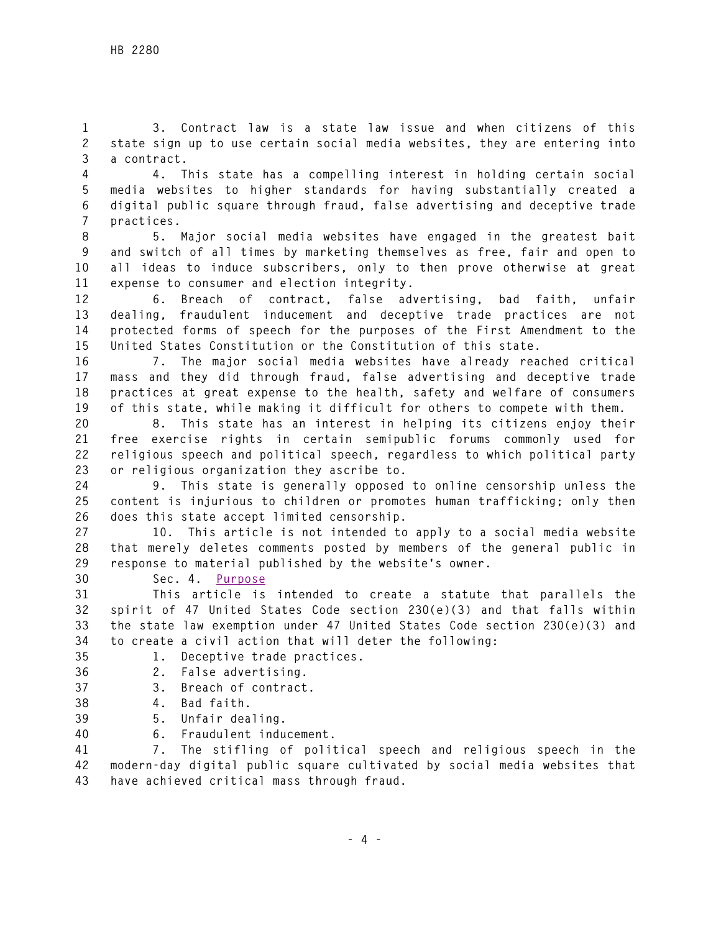**1 3. Contract law is a state law issue and when citizens of this 2 state sign up to use certain social media websites, they are entering into 3 a contract.** 

**4 4. This state has a compelling interest in holding certain social 5 media websites to higher standards for having substantially created a 6 digital public square through fraud, false advertising and deceptive trade 7 practices.** 

**8 5. Major social media websites have engaged in the greatest bait 9 and switch of all times by marketing themselves as free, fair and open to 10 all ideas to induce subscribers, only to then prove otherwise at great 11 expense to consumer and election integrity.** 

**12 6. Breach of contract, false advertising, bad faith, unfair 13 dealing, fraudulent inducement and deceptive trade practices are not 14 protected forms of speech for the purposes of the First Amendment to the 15 United States Constitution or the Constitution of this state.** 

**16 7. The major social media websites have already reached critical 17 mass and they did through fraud, false advertising and deceptive trade 18 practices at great expense to the health, safety and welfare of consumers 19 of this state, while making it difficult for others to compete with them.** 

**20 8. This state has an interest in helping its citizens enjoy their 21 free exercise rights in certain semipublic forums commonly used for 22 religious speech and political speech, regardless to which political party 23 or religious organization they ascribe to.** 

**24 9. This state is generally opposed to online censorship unless the 25 content is injurious to children or promotes human trafficking; only then 26 does this state accept limited censorship.** 

**27 10. This article is not intended to apply to a social media website 28 that merely deletes comments posted by members of the general public in 29 response to material published by the website's owner.** 

**30 Sec. 4. Purpose**

**31 This article is intended to create a statute that parallels the 32 spirit of 47 United States Code section 230(e)(3) and that falls within 33 the state law exemption under 47 United States Code section 230(e)(3) and 34 to create a civil action that will deter the following:** 

- **35 1. Deceptive trade practices.**
- **36 2. False advertising.**
- **37 3. Breach of contract.**
- **38 4. Bad faith.**
- **39 5. Unfair dealing.**
- **40 6. Fraudulent inducement.**

**41 7. The stifling of political speech and religious speech in the 42 modern-day digital public square cultivated by social media websites that 43 have achieved critical mass through fraud.**